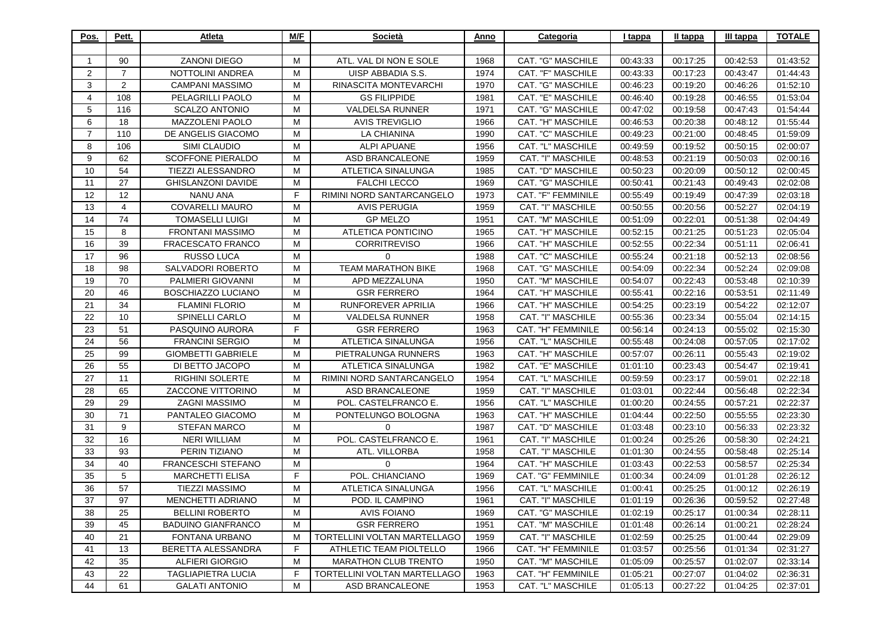| <b>ZANONI DIEGO</b><br>ATL. VAL DI NON E SOLE<br>CAT. "G" MASCHILE<br>90<br>м<br>1968<br>00:43:33<br>00:17:25<br>00:42:53<br>$\mathbf{1}$<br>2<br>$\overline{7}$<br>M<br>CAT. "F" MASCHILE<br>NOTTOLINI ANDREA<br>UISP ABBADIA S.S.<br>1974<br>00:43:33<br>00:17:23<br>00:43:47<br>3<br>2<br><b>CAMPANI MASSIMO</b><br>M<br>CAT. "G" MASCHILE<br>RINASCITA MONTEVARCHI<br>1970<br>00:46:23<br>00:19:20<br>00:46:26<br>108<br>M<br>CAT. "E" MASCHILE<br>4<br>PELAGRILLI PAOLO<br><b>GS FILIPPIDE</b><br>1981<br>00:46:40<br>00:19:28<br>00:46:55<br>5<br>116<br><b>SCALZO ANTONIO</b><br>м<br><b>VALDELSA RUNNER</b><br>1971<br>CAT. "G" MASCHILE<br>00:47:02<br>00:19:58<br>00:47:43<br>18<br>CAT. "H" MASCHILE<br>6<br><b>MAZZOLENI PAOLO</b><br>м<br><b>AVIS TREVIGLIO</b><br>1966<br>00:46:53<br>00:20:38<br>00:48:12<br>$\overline{7}$<br>CAT. "C" MASCHILE<br>110<br>DE ANGELIS GIACOMO<br>м<br>LA CHIANINA<br>1990<br>00:49:23<br>00:21:00<br>00:48:45<br>8<br>106<br><b>SIMI CLAUDIO</b><br>M<br><b>ALPI APUANE</b><br>1956<br>CAT. "L" MASCHILE<br>00:49:59<br>00:19:52<br>00:50:15<br>SCOFFONE PIERALDO<br>9<br>62<br>M<br>ASD BRANCALEONE<br>1959<br>CAT. "I" MASCHILE<br>00:48:53<br>00:21:19<br>00:50:03<br>54<br>10<br>TIEZZI ALESSANDRO<br>M<br>ATLETICA SINALUNGA<br>1985<br>CAT. "D" MASCHILE<br>00:50:23<br>00:20:09<br>00:50:12<br>27<br>11<br><b>GHISLANZONI DAVIDE</b><br>M<br><b>FALCHI LECCO</b><br>1969<br>CAT. "G" MASCHILE<br>00:50:41<br>00:21:43<br>00:49:43<br>12<br>F<br>1973<br>12<br><b>NANU ANA</b><br>RIMINI NORD SANTARCANGELO<br><b>CAT. "F" FEMMINILE</b><br>00:55:49<br>00:19:49<br>00:47:39<br>13<br>$\overline{4}$<br><b>COVARELLI MAURO</b><br>м<br><b>AVIS PERUGIA</b><br>1959<br>CAT. "I" MASCHILE<br>00:50:55<br>00:20:56<br>00:52:27<br>74<br>14<br><b>TOMASELLI LUIGI</b><br>м<br><b>GP MELZO</b><br>1951<br>CAT. "M" MASCHILE<br>00:51:09<br>00:22:01<br>00:51:38<br>8<br>15<br><b>FRONTANI MASSIMO</b><br>M<br>ATLETICA PONTICINO<br>1965<br>CAT. "H" MASCHILE<br>00:52:15<br>00:21:25<br>00:51:23<br>16<br>39<br>M<br>CAT. "H" MASCHILE<br><b>FRACESCATO FRANCO</b><br><b>CORRITREVISO</b><br>1966<br>00:52:55<br>00:22:34<br>00:51:11<br>17<br>RUSSO LUCA<br>M<br><b>CAT. "C" MASCHILE</b><br>96<br>0<br>1988<br>00:55:24<br>00:21:18<br>00:52:13<br>98<br><b>TEAM MARATHON BIKE</b><br>1968<br>CAT. "G" MASCHILE<br>00:54:09<br>00:22:34<br>00:52:24<br>18<br>SALVADORI ROBERTO<br>M<br>19<br>70<br>M<br>PALMIERI GIOVANNI<br>APD MEZZALUNA<br>1950<br><b>CAT. "M" MASCHILE</b><br>00:54:07<br>00:22:43<br>00:53:48<br>46<br>20<br><b>BOSCHIAZZO LUCIANO</b><br>м<br><b>GSR FERRERO</b><br>1964<br>CAT. "H" MASCHILE<br>00:55:41<br>00:22:16<br>00:53:51<br>21<br>34<br><b>FLAMINI FLORIO</b><br>M<br>RUNFOREVER APRILIA<br>1966<br>CAT. "H" MASCHILE<br>00:23:19<br>00:54:25<br>00:54:22<br>10<br>SPINELLI CARLO<br>M<br>VALDELSA RUNNER<br>CAT. "I" MASCHILE<br>22<br>1958<br>00:55:36<br>00:23:34<br>00:55:04<br>F<br>23<br>51<br>PASQUINO AURORA<br><b>GSR FERRERO</b><br>1963<br>CAT. "H" FEMMINILE<br>00:56:14<br>00:24:13<br>00:55:02<br>56<br>24<br><b>FRANCINI SERGIO</b><br>M<br>ATLETICA SINALUNGA<br>1956<br>CAT. "L" MASCHILE<br>00:55:48<br>00:24:08<br>00:57:05<br>25<br>1963<br>CAT. "H" MASCHILE<br>99<br><b>GIOMBETTI GABRIELE</b><br>м<br>PIETRALUNGA RUNNERS<br>00:57:07<br>00:26:11<br>00:55:43<br>26<br>55<br>DI BETTO JACOPO<br>м<br>ATLETICA SINALUNGA<br>1982<br>CAT. "E" MASCHILE<br>01:01:10<br>00:23:43<br>00:54:47<br>27<br>M<br>11<br><b>RIGHINI SOLERTE</b><br>RIMINI NORD SANTARCANGELO<br>1954<br>CAT. "L" MASCHILE<br>00:59:59<br>00:23:17<br>00:59:01<br>28<br>65<br><b>ZACCONE VITTORINO</b><br>M<br>ASD BRANCALEONE<br>1959<br>CAT. "I" MASCHILE<br>01:03:01<br>00:22:44<br>00:56:48<br>29<br>29<br>CAT. "L" MASCHILE<br>ZAGNI MASSIMO<br>M<br>POL. CASTELFRANCO E.<br>1956<br>01:00:20<br>00:24:55<br>00:57:21<br>71<br>30<br>PANTALEO GIACOMO<br>M<br>PONTELUNGO BOLOGNA<br>1963<br>CAT. "H" MASCHILE<br>00:22:50<br>01:04:44<br>00:55:55<br>9<br>CAT. "D" MASCHILE<br>31<br><b>STEFAN MARCO</b><br>м<br>1987<br>01:03:48<br>00:23:10<br>00:56:33<br>$\Omega$<br>POL. CASTELFRANCO E.<br>16<br>м<br>32<br><b>NERI WILLIAM</b><br>1961<br>CAT. "I" MASCHILE<br>01:00:24<br>00:25:26<br>00:58:30<br>93<br>PERIN TIZIANO<br>M<br>CAT. "I" MASCHILE<br>33<br>ATL. VILLORBA<br>1958<br>01:01:30<br>00:24:55<br>00:58:48<br>FRANCESCHI STEFANO<br>M<br>CAT. "H" MASCHILE<br>34<br>40<br>0<br>1964<br>01:03:43<br>00:22:53<br>00:58:57<br>5<br>F<br>POL. CHIANCIANO<br>CAT. "G" FEMMINILE<br>35<br><b>MARCHETTI ELISA</b><br>1969<br>01:00:34<br>00:24:09<br>01:01:28<br>36<br>57<br><b>TIEZZI MASSIMO</b><br>M<br><b>ATLETICA SINALUNGA</b><br>CAT. "L" MASCHILE<br>1956<br>01:00:41<br>00:25:25<br>01:00:12<br>97<br>37<br>M<br>1961<br>POD. IL CAMPINO<br>CAT. "I" MASCHILE<br>00:26:36<br>00:59:52<br>MENCHETTI ADRIANO<br>01:01:19<br>38<br>25<br><b>BELLINI ROBERTO</b><br>м<br><b>AVIS FOIANO</b><br>1969<br>CAT. "G" MASCHILE<br>01:02:19<br>00:25:17<br>01:00:34<br>02:28:11<br>39<br>м<br><b>GSR FERRERO</b><br>1951<br>CAT. "M" MASCHILE<br>45<br><b>BADUINO GIANFRANCO</b><br>01:01:48<br>00:26:14<br>01:00:21 | Pos. | Pett. | Atleta | M/F | Società | Anno | Categoria | I tappa | II tappa | III tappa | <b>TOTALE</b> |
|--------------------------------------------------------------------------------------------------------------------------------------------------------------------------------------------------------------------------------------------------------------------------------------------------------------------------------------------------------------------------------------------------------------------------------------------------------------------------------------------------------------------------------------------------------------------------------------------------------------------------------------------------------------------------------------------------------------------------------------------------------------------------------------------------------------------------------------------------------------------------------------------------------------------------------------------------------------------------------------------------------------------------------------------------------------------------------------------------------------------------------------------------------------------------------------------------------------------------------------------------------------------------------------------------------------------------------------------------------------------------------------------------------------------------------------------------------------------------------------------------------------------------------------------------------------------------------------------------------------------------------------------------------------------------------------------------------------------------------------------------------------------------------------------------------------------------------------------------------------------------------------------------------------------------------------------------------------------------------------------------------------------------------------------------------------------------------------------------------------------------------------------------------------------------------------------------------------------------------------------------------------------------------------------------------------------------------------------------------------------------------------------------------------------------------------------------------------------------------------------------------------------------------------------------------------------------------------------------------------------------------------------------------------------------------------------------------------------------------------------------------------------------------------------------------------------------------------------------------------------------------------------------------------------------------------------------------------------------------------------------------------------------------------------------------------------------------------------------------------------------------------------------------------------------------------------------------------------------------------------------------------------------------------------------------------------------------------------------------------------------------------------------------------------------------------------------------------------------------------------------------------------------------------------------------------------------------------------------------------------------------------------------------------------------------------------------------------------------------------------------------------------------------------------------------------------------------------------------------------------------------------------------------------------------------------------------------------------------------------------------------------------------------------------------------------------------------------------------------------------------------------------------------------------------------------------------------------------------------------------------------------------------------------------------------------------------------------------------------------------------------------------------------------------------------------------------------------------------------------------------------------------------------------------------------------------------------------------------------------------------------------------------------------------------------------------------------------------------------------------------------------------------------------------------------------------------------------------------------------------------------------------------------------------------------------------------------------------------------------------------------------------------------------------------------------------------------------------------------------------------------------------------------------------------------------------------------------|------|-------|--------|-----|---------|------|-----------|---------|----------|-----------|---------------|
|                                                                                                                                                                                                                                                                                                                                                                                                                                                                                                                                                                                                                                                                                                                                                                                                                                                                                                                                                                                                                                                                                                                                                                                                                                                                                                                                                                                                                                                                                                                                                                                                                                                                                                                                                                                                                                                                                                                                                                                                                                                                                                                                                                                                                                                                                                                                                                                                                                                                                                                                                                                                                                                                                                                                                                                                                                                                                                                                                                                                                                                                                                                                                                                                                                                                                                                                                                                                                                                                                                                                                                                                                                                                                                                                                                                                                                                                                                                                                                                                                                                                                                                                                                                                                                                                                                                                                                                                                                                                                                                                                                                                                                                                                                                                                                                                                                                                                                                                                                                                                                                                                                                                                                                                              |      |       |        |     |         |      |           |         |          |           |               |
|                                                                                                                                                                                                                                                                                                                                                                                                                                                                                                                                                                                                                                                                                                                                                                                                                                                                                                                                                                                                                                                                                                                                                                                                                                                                                                                                                                                                                                                                                                                                                                                                                                                                                                                                                                                                                                                                                                                                                                                                                                                                                                                                                                                                                                                                                                                                                                                                                                                                                                                                                                                                                                                                                                                                                                                                                                                                                                                                                                                                                                                                                                                                                                                                                                                                                                                                                                                                                                                                                                                                                                                                                                                                                                                                                                                                                                                                                                                                                                                                                                                                                                                                                                                                                                                                                                                                                                                                                                                                                                                                                                                                                                                                                                                                                                                                                                                                                                                                                                                                                                                                                                                                                                                                              |      |       |        |     |         |      |           |         |          |           | 01:43:52      |
|                                                                                                                                                                                                                                                                                                                                                                                                                                                                                                                                                                                                                                                                                                                                                                                                                                                                                                                                                                                                                                                                                                                                                                                                                                                                                                                                                                                                                                                                                                                                                                                                                                                                                                                                                                                                                                                                                                                                                                                                                                                                                                                                                                                                                                                                                                                                                                                                                                                                                                                                                                                                                                                                                                                                                                                                                                                                                                                                                                                                                                                                                                                                                                                                                                                                                                                                                                                                                                                                                                                                                                                                                                                                                                                                                                                                                                                                                                                                                                                                                                                                                                                                                                                                                                                                                                                                                                                                                                                                                                                                                                                                                                                                                                                                                                                                                                                                                                                                                                                                                                                                                                                                                                                                              |      |       |        |     |         |      |           |         |          |           | 01:44:43      |
|                                                                                                                                                                                                                                                                                                                                                                                                                                                                                                                                                                                                                                                                                                                                                                                                                                                                                                                                                                                                                                                                                                                                                                                                                                                                                                                                                                                                                                                                                                                                                                                                                                                                                                                                                                                                                                                                                                                                                                                                                                                                                                                                                                                                                                                                                                                                                                                                                                                                                                                                                                                                                                                                                                                                                                                                                                                                                                                                                                                                                                                                                                                                                                                                                                                                                                                                                                                                                                                                                                                                                                                                                                                                                                                                                                                                                                                                                                                                                                                                                                                                                                                                                                                                                                                                                                                                                                                                                                                                                                                                                                                                                                                                                                                                                                                                                                                                                                                                                                                                                                                                                                                                                                                                              |      |       |        |     |         |      |           |         |          |           | 01:52:10      |
|                                                                                                                                                                                                                                                                                                                                                                                                                                                                                                                                                                                                                                                                                                                                                                                                                                                                                                                                                                                                                                                                                                                                                                                                                                                                                                                                                                                                                                                                                                                                                                                                                                                                                                                                                                                                                                                                                                                                                                                                                                                                                                                                                                                                                                                                                                                                                                                                                                                                                                                                                                                                                                                                                                                                                                                                                                                                                                                                                                                                                                                                                                                                                                                                                                                                                                                                                                                                                                                                                                                                                                                                                                                                                                                                                                                                                                                                                                                                                                                                                                                                                                                                                                                                                                                                                                                                                                                                                                                                                                                                                                                                                                                                                                                                                                                                                                                                                                                                                                                                                                                                                                                                                                                                              |      |       |        |     |         |      |           |         |          |           | 01:53:04      |
|                                                                                                                                                                                                                                                                                                                                                                                                                                                                                                                                                                                                                                                                                                                                                                                                                                                                                                                                                                                                                                                                                                                                                                                                                                                                                                                                                                                                                                                                                                                                                                                                                                                                                                                                                                                                                                                                                                                                                                                                                                                                                                                                                                                                                                                                                                                                                                                                                                                                                                                                                                                                                                                                                                                                                                                                                                                                                                                                                                                                                                                                                                                                                                                                                                                                                                                                                                                                                                                                                                                                                                                                                                                                                                                                                                                                                                                                                                                                                                                                                                                                                                                                                                                                                                                                                                                                                                                                                                                                                                                                                                                                                                                                                                                                                                                                                                                                                                                                                                                                                                                                                                                                                                                                              |      |       |        |     |         |      |           |         |          |           | 01:54:44      |
|                                                                                                                                                                                                                                                                                                                                                                                                                                                                                                                                                                                                                                                                                                                                                                                                                                                                                                                                                                                                                                                                                                                                                                                                                                                                                                                                                                                                                                                                                                                                                                                                                                                                                                                                                                                                                                                                                                                                                                                                                                                                                                                                                                                                                                                                                                                                                                                                                                                                                                                                                                                                                                                                                                                                                                                                                                                                                                                                                                                                                                                                                                                                                                                                                                                                                                                                                                                                                                                                                                                                                                                                                                                                                                                                                                                                                                                                                                                                                                                                                                                                                                                                                                                                                                                                                                                                                                                                                                                                                                                                                                                                                                                                                                                                                                                                                                                                                                                                                                                                                                                                                                                                                                                                              |      |       |        |     |         |      |           |         |          |           | 01:55:44      |
|                                                                                                                                                                                                                                                                                                                                                                                                                                                                                                                                                                                                                                                                                                                                                                                                                                                                                                                                                                                                                                                                                                                                                                                                                                                                                                                                                                                                                                                                                                                                                                                                                                                                                                                                                                                                                                                                                                                                                                                                                                                                                                                                                                                                                                                                                                                                                                                                                                                                                                                                                                                                                                                                                                                                                                                                                                                                                                                                                                                                                                                                                                                                                                                                                                                                                                                                                                                                                                                                                                                                                                                                                                                                                                                                                                                                                                                                                                                                                                                                                                                                                                                                                                                                                                                                                                                                                                                                                                                                                                                                                                                                                                                                                                                                                                                                                                                                                                                                                                                                                                                                                                                                                                                                              |      |       |        |     |         |      |           |         |          |           | 01:59:09      |
|                                                                                                                                                                                                                                                                                                                                                                                                                                                                                                                                                                                                                                                                                                                                                                                                                                                                                                                                                                                                                                                                                                                                                                                                                                                                                                                                                                                                                                                                                                                                                                                                                                                                                                                                                                                                                                                                                                                                                                                                                                                                                                                                                                                                                                                                                                                                                                                                                                                                                                                                                                                                                                                                                                                                                                                                                                                                                                                                                                                                                                                                                                                                                                                                                                                                                                                                                                                                                                                                                                                                                                                                                                                                                                                                                                                                                                                                                                                                                                                                                                                                                                                                                                                                                                                                                                                                                                                                                                                                                                                                                                                                                                                                                                                                                                                                                                                                                                                                                                                                                                                                                                                                                                                                              |      |       |        |     |         |      |           |         |          |           | 02:00:07      |
|                                                                                                                                                                                                                                                                                                                                                                                                                                                                                                                                                                                                                                                                                                                                                                                                                                                                                                                                                                                                                                                                                                                                                                                                                                                                                                                                                                                                                                                                                                                                                                                                                                                                                                                                                                                                                                                                                                                                                                                                                                                                                                                                                                                                                                                                                                                                                                                                                                                                                                                                                                                                                                                                                                                                                                                                                                                                                                                                                                                                                                                                                                                                                                                                                                                                                                                                                                                                                                                                                                                                                                                                                                                                                                                                                                                                                                                                                                                                                                                                                                                                                                                                                                                                                                                                                                                                                                                                                                                                                                                                                                                                                                                                                                                                                                                                                                                                                                                                                                                                                                                                                                                                                                                                              |      |       |        |     |         |      |           |         |          |           | 02:00:16      |
|                                                                                                                                                                                                                                                                                                                                                                                                                                                                                                                                                                                                                                                                                                                                                                                                                                                                                                                                                                                                                                                                                                                                                                                                                                                                                                                                                                                                                                                                                                                                                                                                                                                                                                                                                                                                                                                                                                                                                                                                                                                                                                                                                                                                                                                                                                                                                                                                                                                                                                                                                                                                                                                                                                                                                                                                                                                                                                                                                                                                                                                                                                                                                                                                                                                                                                                                                                                                                                                                                                                                                                                                                                                                                                                                                                                                                                                                                                                                                                                                                                                                                                                                                                                                                                                                                                                                                                                                                                                                                                                                                                                                                                                                                                                                                                                                                                                                                                                                                                                                                                                                                                                                                                                                              |      |       |        |     |         |      |           |         |          |           | 02:00:45      |
|                                                                                                                                                                                                                                                                                                                                                                                                                                                                                                                                                                                                                                                                                                                                                                                                                                                                                                                                                                                                                                                                                                                                                                                                                                                                                                                                                                                                                                                                                                                                                                                                                                                                                                                                                                                                                                                                                                                                                                                                                                                                                                                                                                                                                                                                                                                                                                                                                                                                                                                                                                                                                                                                                                                                                                                                                                                                                                                                                                                                                                                                                                                                                                                                                                                                                                                                                                                                                                                                                                                                                                                                                                                                                                                                                                                                                                                                                                                                                                                                                                                                                                                                                                                                                                                                                                                                                                                                                                                                                                                                                                                                                                                                                                                                                                                                                                                                                                                                                                                                                                                                                                                                                                                                              |      |       |        |     |         |      |           |         |          |           | 02:02:08      |
|                                                                                                                                                                                                                                                                                                                                                                                                                                                                                                                                                                                                                                                                                                                                                                                                                                                                                                                                                                                                                                                                                                                                                                                                                                                                                                                                                                                                                                                                                                                                                                                                                                                                                                                                                                                                                                                                                                                                                                                                                                                                                                                                                                                                                                                                                                                                                                                                                                                                                                                                                                                                                                                                                                                                                                                                                                                                                                                                                                                                                                                                                                                                                                                                                                                                                                                                                                                                                                                                                                                                                                                                                                                                                                                                                                                                                                                                                                                                                                                                                                                                                                                                                                                                                                                                                                                                                                                                                                                                                                                                                                                                                                                                                                                                                                                                                                                                                                                                                                                                                                                                                                                                                                                                              |      |       |        |     |         |      |           |         |          |           | 02:03:18      |
|                                                                                                                                                                                                                                                                                                                                                                                                                                                                                                                                                                                                                                                                                                                                                                                                                                                                                                                                                                                                                                                                                                                                                                                                                                                                                                                                                                                                                                                                                                                                                                                                                                                                                                                                                                                                                                                                                                                                                                                                                                                                                                                                                                                                                                                                                                                                                                                                                                                                                                                                                                                                                                                                                                                                                                                                                                                                                                                                                                                                                                                                                                                                                                                                                                                                                                                                                                                                                                                                                                                                                                                                                                                                                                                                                                                                                                                                                                                                                                                                                                                                                                                                                                                                                                                                                                                                                                                                                                                                                                                                                                                                                                                                                                                                                                                                                                                                                                                                                                                                                                                                                                                                                                                                              |      |       |        |     |         |      |           |         |          |           | 02:04:19      |
|                                                                                                                                                                                                                                                                                                                                                                                                                                                                                                                                                                                                                                                                                                                                                                                                                                                                                                                                                                                                                                                                                                                                                                                                                                                                                                                                                                                                                                                                                                                                                                                                                                                                                                                                                                                                                                                                                                                                                                                                                                                                                                                                                                                                                                                                                                                                                                                                                                                                                                                                                                                                                                                                                                                                                                                                                                                                                                                                                                                                                                                                                                                                                                                                                                                                                                                                                                                                                                                                                                                                                                                                                                                                                                                                                                                                                                                                                                                                                                                                                                                                                                                                                                                                                                                                                                                                                                                                                                                                                                                                                                                                                                                                                                                                                                                                                                                                                                                                                                                                                                                                                                                                                                                                              |      |       |        |     |         |      |           |         |          |           | 02:04:49      |
|                                                                                                                                                                                                                                                                                                                                                                                                                                                                                                                                                                                                                                                                                                                                                                                                                                                                                                                                                                                                                                                                                                                                                                                                                                                                                                                                                                                                                                                                                                                                                                                                                                                                                                                                                                                                                                                                                                                                                                                                                                                                                                                                                                                                                                                                                                                                                                                                                                                                                                                                                                                                                                                                                                                                                                                                                                                                                                                                                                                                                                                                                                                                                                                                                                                                                                                                                                                                                                                                                                                                                                                                                                                                                                                                                                                                                                                                                                                                                                                                                                                                                                                                                                                                                                                                                                                                                                                                                                                                                                                                                                                                                                                                                                                                                                                                                                                                                                                                                                                                                                                                                                                                                                                                              |      |       |        |     |         |      |           |         |          |           | 02:05:04      |
|                                                                                                                                                                                                                                                                                                                                                                                                                                                                                                                                                                                                                                                                                                                                                                                                                                                                                                                                                                                                                                                                                                                                                                                                                                                                                                                                                                                                                                                                                                                                                                                                                                                                                                                                                                                                                                                                                                                                                                                                                                                                                                                                                                                                                                                                                                                                                                                                                                                                                                                                                                                                                                                                                                                                                                                                                                                                                                                                                                                                                                                                                                                                                                                                                                                                                                                                                                                                                                                                                                                                                                                                                                                                                                                                                                                                                                                                                                                                                                                                                                                                                                                                                                                                                                                                                                                                                                                                                                                                                                                                                                                                                                                                                                                                                                                                                                                                                                                                                                                                                                                                                                                                                                                                              |      |       |        |     |         |      |           |         |          |           | 02:06:41      |
|                                                                                                                                                                                                                                                                                                                                                                                                                                                                                                                                                                                                                                                                                                                                                                                                                                                                                                                                                                                                                                                                                                                                                                                                                                                                                                                                                                                                                                                                                                                                                                                                                                                                                                                                                                                                                                                                                                                                                                                                                                                                                                                                                                                                                                                                                                                                                                                                                                                                                                                                                                                                                                                                                                                                                                                                                                                                                                                                                                                                                                                                                                                                                                                                                                                                                                                                                                                                                                                                                                                                                                                                                                                                                                                                                                                                                                                                                                                                                                                                                                                                                                                                                                                                                                                                                                                                                                                                                                                                                                                                                                                                                                                                                                                                                                                                                                                                                                                                                                                                                                                                                                                                                                                                              |      |       |        |     |         |      |           |         |          |           | 02:08:56      |
|                                                                                                                                                                                                                                                                                                                                                                                                                                                                                                                                                                                                                                                                                                                                                                                                                                                                                                                                                                                                                                                                                                                                                                                                                                                                                                                                                                                                                                                                                                                                                                                                                                                                                                                                                                                                                                                                                                                                                                                                                                                                                                                                                                                                                                                                                                                                                                                                                                                                                                                                                                                                                                                                                                                                                                                                                                                                                                                                                                                                                                                                                                                                                                                                                                                                                                                                                                                                                                                                                                                                                                                                                                                                                                                                                                                                                                                                                                                                                                                                                                                                                                                                                                                                                                                                                                                                                                                                                                                                                                                                                                                                                                                                                                                                                                                                                                                                                                                                                                                                                                                                                                                                                                                                              |      |       |        |     |         |      |           |         |          |           | 02:09:08      |
|                                                                                                                                                                                                                                                                                                                                                                                                                                                                                                                                                                                                                                                                                                                                                                                                                                                                                                                                                                                                                                                                                                                                                                                                                                                                                                                                                                                                                                                                                                                                                                                                                                                                                                                                                                                                                                                                                                                                                                                                                                                                                                                                                                                                                                                                                                                                                                                                                                                                                                                                                                                                                                                                                                                                                                                                                                                                                                                                                                                                                                                                                                                                                                                                                                                                                                                                                                                                                                                                                                                                                                                                                                                                                                                                                                                                                                                                                                                                                                                                                                                                                                                                                                                                                                                                                                                                                                                                                                                                                                                                                                                                                                                                                                                                                                                                                                                                                                                                                                                                                                                                                                                                                                                                              |      |       |        |     |         |      |           |         |          |           | 02:10:39      |
|                                                                                                                                                                                                                                                                                                                                                                                                                                                                                                                                                                                                                                                                                                                                                                                                                                                                                                                                                                                                                                                                                                                                                                                                                                                                                                                                                                                                                                                                                                                                                                                                                                                                                                                                                                                                                                                                                                                                                                                                                                                                                                                                                                                                                                                                                                                                                                                                                                                                                                                                                                                                                                                                                                                                                                                                                                                                                                                                                                                                                                                                                                                                                                                                                                                                                                                                                                                                                                                                                                                                                                                                                                                                                                                                                                                                                                                                                                                                                                                                                                                                                                                                                                                                                                                                                                                                                                                                                                                                                                                                                                                                                                                                                                                                                                                                                                                                                                                                                                                                                                                                                                                                                                                                              |      |       |        |     |         |      |           |         |          |           | 02:11:49      |
|                                                                                                                                                                                                                                                                                                                                                                                                                                                                                                                                                                                                                                                                                                                                                                                                                                                                                                                                                                                                                                                                                                                                                                                                                                                                                                                                                                                                                                                                                                                                                                                                                                                                                                                                                                                                                                                                                                                                                                                                                                                                                                                                                                                                                                                                                                                                                                                                                                                                                                                                                                                                                                                                                                                                                                                                                                                                                                                                                                                                                                                                                                                                                                                                                                                                                                                                                                                                                                                                                                                                                                                                                                                                                                                                                                                                                                                                                                                                                                                                                                                                                                                                                                                                                                                                                                                                                                                                                                                                                                                                                                                                                                                                                                                                                                                                                                                                                                                                                                                                                                                                                                                                                                                                              |      |       |        |     |         |      |           |         |          |           | 02:12:07      |
|                                                                                                                                                                                                                                                                                                                                                                                                                                                                                                                                                                                                                                                                                                                                                                                                                                                                                                                                                                                                                                                                                                                                                                                                                                                                                                                                                                                                                                                                                                                                                                                                                                                                                                                                                                                                                                                                                                                                                                                                                                                                                                                                                                                                                                                                                                                                                                                                                                                                                                                                                                                                                                                                                                                                                                                                                                                                                                                                                                                                                                                                                                                                                                                                                                                                                                                                                                                                                                                                                                                                                                                                                                                                                                                                                                                                                                                                                                                                                                                                                                                                                                                                                                                                                                                                                                                                                                                                                                                                                                                                                                                                                                                                                                                                                                                                                                                                                                                                                                                                                                                                                                                                                                                                              |      |       |        |     |         |      |           |         |          |           | 02:14:15      |
|                                                                                                                                                                                                                                                                                                                                                                                                                                                                                                                                                                                                                                                                                                                                                                                                                                                                                                                                                                                                                                                                                                                                                                                                                                                                                                                                                                                                                                                                                                                                                                                                                                                                                                                                                                                                                                                                                                                                                                                                                                                                                                                                                                                                                                                                                                                                                                                                                                                                                                                                                                                                                                                                                                                                                                                                                                                                                                                                                                                                                                                                                                                                                                                                                                                                                                                                                                                                                                                                                                                                                                                                                                                                                                                                                                                                                                                                                                                                                                                                                                                                                                                                                                                                                                                                                                                                                                                                                                                                                                                                                                                                                                                                                                                                                                                                                                                                                                                                                                                                                                                                                                                                                                                                              |      |       |        |     |         |      |           |         |          |           | 02:15:30      |
|                                                                                                                                                                                                                                                                                                                                                                                                                                                                                                                                                                                                                                                                                                                                                                                                                                                                                                                                                                                                                                                                                                                                                                                                                                                                                                                                                                                                                                                                                                                                                                                                                                                                                                                                                                                                                                                                                                                                                                                                                                                                                                                                                                                                                                                                                                                                                                                                                                                                                                                                                                                                                                                                                                                                                                                                                                                                                                                                                                                                                                                                                                                                                                                                                                                                                                                                                                                                                                                                                                                                                                                                                                                                                                                                                                                                                                                                                                                                                                                                                                                                                                                                                                                                                                                                                                                                                                                                                                                                                                                                                                                                                                                                                                                                                                                                                                                                                                                                                                                                                                                                                                                                                                                                              |      |       |        |     |         |      |           |         |          |           | 02:17:02      |
|                                                                                                                                                                                                                                                                                                                                                                                                                                                                                                                                                                                                                                                                                                                                                                                                                                                                                                                                                                                                                                                                                                                                                                                                                                                                                                                                                                                                                                                                                                                                                                                                                                                                                                                                                                                                                                                                                                                                                                                                                                                                                                                                                                                                                                                                                                                                                                                                                                                                                                                                                                                                                                                                                                                                                                                                                                                                                                                                                                                                                                                                                                                                                                                                                                                                                                                                                                                                                                                                                                                                                                                                                                                                                                                                                                                                                                                                                                                                                                                                                                                                                                                                                                                                                                                                                                                                                                                                                                                                                                                                                                                                                                                                                                                                                                                                                                                                                                                                                                                                                                                                                                                                                                                                              |      |       |        |     |         |      |           |         |          |           | 02:19:02      |
|                                                                                                                                                                                                                                                                                                                                                                                                                                                                                                                                                                                                                                                                                                                                                                                                                                                                                                                                                                                                                                                                                                                                                                                                                                                                                                                                                                                                                                                                                                                                                                                                                                                                                                                                                                                                                                                                                                                                                                                                                                                                                                                                                                                                                                                                                                                                                                                                                                                                                                                                                                                                                                                                                                                                                                                                                                                                                                                                                                                                                                                                                                                                                                                                                                                                                                                                                                                                                                                                                                                                                                                                                                                                                                                                                                                                                                                                                                                                                                                                                                                                                                                                                                                                                                                                                                                                                                                                                                                                                                                                                                                                                                                                                                                                                                                                                                                                                                                                                                                                                                                                                                                                                                                                              |      |       |        |     |         |      |           |         |          |           | 02:19:41      |
|                                                                                                                                                                                                                                                                                                                                                                                                                                                                                                                                                                                                                                                                                                                                                                                                                                                                                                                                                                                                                                                                                                                                                                                                                                                                                                                                                                                                                                                                                                                                                                                                                                                                                                                                                                                                                                                                                                                                                                                                                                                                                                                                                                                                                                                                                                                                                                                                                                                                                                                                                                                                                                                                                                                                                                                                                                                                                                                                                                                                                                                                                                                                                                                                                                                                                                                                                                                                                                                                                                                                                                                                                                                                                                                                                                                                                                                                                                                                                                                                                                                                                                                                                                                                                                                                                                                                                                                                                                                                                                                                                                                                                                                                                                                                                                                                                                                                                                                                                                                                                                                                                                                                                                                                              |      |       |        |     |         |      |           |         |          |           | 02:22:18      |
|                                                                                                                                                                                                                                                                                                                                                                                                                                                                                                                                                                                                                                                                                                                                                                                                                                                                                                                                                                                                                                                                                                                                                                                                                                                                                                                                                                                                                                                                                                                                                                                                                                                                                                                                                                                                                                                                                                                                                                                                                                                                                                                                                                                                                                                                                                                                                                                                                                                                                                                                                                                                                                                                                                                                                                                                                                                                                                                                                                                                                                                                                                                                                                                                                                                                                                                                                                                                                                                                                                                                                                                                                                                                                                                                                                                                                                                                                                                                                                                                                                                                                                                                                                                                                                                                                                                                                                                                                                                                                                                                                                                                                                                                                                                                                                                                                                                                                                                                                                                                                                                                                                                                                                                                              |      |       |        |     |         |      |           |         |          |           | 02:22:34      |
|                                                                                                                                                                                                                                                                                                                                                                                                                                                                                                                                                                                                                                                                                                                                                                                                                                                                                                                                                                                                                                                                                                                                                                                                                                                                                                                                                                                                                                                                                                                                                                                                                                                                                                                                                                                                                                                                                                                                                                                                                                                                                                                                                                                                                                                                                                                                                                                                                                                                                                                                                                                                                                                                                                                                                                                                                                                                                                                                                                                                                                                                                                                                                                                                                                                                                                                                                                                                                                                                                                                                                                                                                                                                                                                                                                                                                                                                                                                                                                                                                                                                                                                                                                                                                                                                                                                                                                                                                                                                                                                                                                                                                                                                                                                                                                                                                                                                                                                                                                                                                                                                                                                                                                                                              |      |       |        |     |         |      |           |         |          |           | 02:22:37      |
|                                                                                                                                                                                                                                                                                                                                                                                                                                                                                                                                                                                                                                                                                                                                                                                                                                                                                                                                                                                                                                                                                                                                                                                                                                                                                                                                                                                                                                                                                                                                                                                                                                                                                                                                                                                                                                                                                                                                                                                                                                                                                                                                                                                                                                                                                                                                                                                                                                                                                                                                                                                                                                                                                                                                                                                                                                                                                                                                                                                                                                                                                                                                                                                                                                                                                                                                                                                                                                                                                                                                                                                                                                                                                                                                                                                                                                                                                                                                                                                                                                                                                                                                                                                                                                                                                                                                                                                                                                                                                                                                                                                                                                                                                                                                                                                                                                                                                                                                                                                                                                                                                                                                                                                                              |      |       |        |     |         |      |           |         |          |           | 02:23:30      |
|                                                                                                                                                                                                                                                                                                                                                                                                                                                                                                                                                                                                                                                                                                                                                                                                                                                                                                                                                                                                                                                                                                                                                                                                                                                                                                                                                                                                                                                                                                                                                                                                                                                                                                                                                                                                                                                                                                                                                                                                                                                                                                                                                                                                                                                                                                                                                                                                                                                                                                                                                                                                                                                                                                                                                                                                                                                                                                                                                                                                                                                                                                                                                                                                                                                                                                                                                                                                                                                                                                                                                                                                                                                                                                                                                                                                                                                                                                                                                                                                                                                                                                                                                                                                                                                                                                                                                                                                                                                                                                                                                                                                                                                                                                                                                                                                                                                                                                                                                                                                                                                                                                                                                                                                              |      |       |        |     |         |      |           |         |          |           | 02:23:32      |
|                                                                                                                                                                                                                                                                                                                                                                                                                                                                                                                                                                                                                                                                                                                                                                                                                                                                                                                                                                                                                                                                                                                                                                                                                                                                                                                                                                                                                                                                                                                                                                                                                                                                                                                                                                                                                                                                                                                                                                                                                                                                                                                                                                                                                                                                                                                                                                                                                                                                                                                                                                                                                                                                                                                                                                                                                                                                                                                                                                                                                                                                                                                                                                                                                                                                                                                                                                                                                                                                                                                                                                                                                                                                                                                                                                                                                                                                                                                                                                                                                                                                                                                                                                                                                                                                                                                                                                                                                                                                                                                                                                                                                                                                                                                                                                                                                                                                                                                                                                                                                                                                                                                                                                                                              |      |       |        |     |         |      |           |         |          |           | 02:24:21      |
|                                                                                                                                                                                                                                                                                                                                                                                                                                                                                                                                                                                                                                                                                                                                                                                                                                                                                                                                                                                                                                                                                                                                                                                                                                                                                                                                                                                                                                                                                                                                                                                                                                                                                                                                                                                                                                                                                                                                                                                                                                                                                                                                                                                                                                                                                                                                                                                                                                                                                                                                                                                                                                                                                                                                                                                                                                                                                                                                                                                                                                                                                                                                                                                                                                                                                                                                                                                                                                                                                                                                                                                                                                                                                                                                                                                                                                                                                                                                                                                                                                                                                                                                                                                                                                                                                                                                                                                                                                                                                                                                                                                                                                                                                                                                                                                                                                                                                                                                                                                                                                                                                                                                                                                                              |      |       |        |     |         |      |           |         |          |           | 02:25:14      |
|                                                                                                                                                                                                                                                                                                                                                                                                                                                                                                                                                                                                                                                                                                                                                                                                                                                                                                                                                                                                                                                                                                                                                                                                                                                                                                                                                                                                                                                                                                                                                                                                                                                                                                                                                                                                                                                                                                                                                                                                                                                                                                                                                                                                                                                                                                                                                                                                                                                                                                                                                                                                                                                                                                                                                                                                                                                                                                                                                                                                                                                                                                                                                                                                                                                                                                                                                                                                                                                                                                                                                                                                                                                                                                                                                                                                                                                                                                                                                                                                                                                                                                                                                                                                                                                                                                                                                                                                                                                                                                                                                                                                                                                                                                                                                                                                                                                                                                                                                                                                                                                                                                                                                                                                              |      |       |        |     |         |      |           |         |          |           | 02:25:34      |
|                                                                                                                                                                                                                                                                                                                                                                                                                                                                                                                                                                                                                                                                                                                                                                                                                                                                                                                                                                                                                                                                                                                                                                                                                                                                                                                                                                                                                                                                                                                                                                                                                                                                                                                                                                                                                                                                                                                                                                                                                                                                                                                                                                                                                                                                                                                                                                                                                                                                                                                                                                                                                                                                                                                                                                                                                                                                                                                                                                                                                                                                                                                                                                                                                                                                                                                                                                                                                                                                                                                                                                                                                                                                                                                                                                                                                                                                                                                                                                                                                                                                                                                                                                                                                                                                                                                                                                                                                                                                                                                                                                                                                                                                                                                                                                                                                                                                                                                                                                                                                                                                                                                                                                                                              |      |       |        |     |         |      |           |         |          |           | 02:26:12      |
|                                                                                                                                                                                                                                                                                                                                                                                                                                                                                                                                                                                                                                                                                                                                                                                                                                                                                                                                                                                                                                                                                                                                                                                                                                                                                                                                                                                                                                                                                                                                                                                                                                                                                                                                                                                                                                                                                                                                                                                                                                                                                                                                                                                                                                                                                                                                                                                                                                                                                                                                                                                                                                                                                                                                                                                                                                                                                                                                                                                                                                                                                                                                                                                                                                                                                                                                                                                                                                                                                                                                                                                                                                                                                                                                                                                                                                                                                                                                                                                                                                                                                                                                                                                                                                                                                                                                                                                                                                                                                                                                                                                                                                                                                                                                                                                                                                                                                                                                                                                                                                                                                                                                                                                                              |      |       |        |     |         |      |           |         |          |           | 02:26:19      |
|                                                                                                                                                                                                                                                                                                                                                                                                                                                                                                                                                                                                                                                                                                                                                                                                                                                                                                                                                                                                                                                                                                                                                                                                                                                                                                                                                                                                                                                                                                                                                                                                                                                                                                                                                                                                                                                                                                                                                                                                                                                                                                                                                                                                                                                                                                                                                                                                                                                                                                                                                                                                                                                                                                                                                                                                                                                                                                                                                                                                                                                                                                                                                                                                                                                                                                                                                                                                                                                                                                                                                                                                                                                                                                                                                                                                                                                                                                                                                                                                                                                                                                                                                                                                                                                                                                                                                                                                                                                                                                                                                                                                                                                                                                                                                                                                                                                                                                                                                                                                                                                                                                                                                                                                              |      |       |        |     |         |      |           |         |          |           | 02:27:48      |
|                                                                                                                                                                                                                                                                                                                                                                                                                                                                                                                                                                                                                                                                                                                                                                                                                                                                                                                                                                                                                                                                                                                                                                                                                                                                                                                                                                                                                                                                                                                                                                                                                                                                                                                                                                                                                                                                                                                                                                                                                                                                                                                                                                                                                                                                                                                                                                                                                                                                                                                                                                                                                                                                                                                                                                                                                                                                                                                                                                                                                                                                                                                                                                                                                                                                                                                                                                                                                                                                                                                                                                                                                                                                                                                                                                                                                                                                                                                                                                                                                                                                                                                                                                                                                                                                                                                                                                                                                                                                                                                                                                                                                                                                                                                                                                                                                                                                                                                                                                                                                                                                                                                                                                                                              |      |       |        |     |         |      |           |         |          |           |               |
|                                                                                                                                                                                                                                                                                                                                                                                                                                                                                                                                                                                                                                                                                                                                                                                                                                                                                                                                                                                                                                                                                                                                                                                                                                                                                                                                                                                                                                                                                                                                                                                                                                                                                                                                                                                                                                                                                                                                                                                                                                                                                                                                                                                                                                                                                                                                                                                                                                                                                                                                                                                                                                                                                                                                                                                                                                                                                                                                                                                                                                                                                                                                                                                                                                                                                                                                                                                                                                                                                                                                                                                                                                                                                                                                                                                                                                                                                                                                                                                                                                                                                                                                                                                                                                                                                                                                                                                                                                                                                                                                                                                                                                                                                                                                                                                                                                                                                                                                                                                                                                                                                                                                                                                                              |      |       |        |     |         |      |           |         |          |           | 02:28:24      |
| 40<br>21<br>M<br>CAT. "I" MASCHILE<br>FONTANA URBANO<br>TORTELLINI VOLTAN MARTELLAGO<br>1959<br>01:02:59<br>00:25:25<br>01:00:44                                                                                                                                                                                                                                                                                                                                                                                                                                                                                                                                                                                                                                                                                                                                                                                                                                                                                                                                                                                                                                                                                                                                                                                                                                                                                                                                                                                                                                                                                                                                                                                                                                                                                                                                                                                                                                                                                                                                                                                                                                                                                                                                                                                                                                                                                                                                                                                                                                                                                                                                                                                                                                                                                                                                                                                                                                                                                                                                                                                                                                                                                                                                                                                                                                                                                                                                                                                                                                                                                                                                                                                                                                                                                                                                                                                                                                                                                                                                                                                                                                                                                                                                                                                                                                                                                                                                                                                                                                                                                                                                                                                                                                                                                                                                                                                                                                                                                                                                                                                                                                                                             |      |       |        |     |         |      |           |         |          |           | 02:29:09      |
| F<br>13<br>BERETTA ALESSANDRA<br>ATHLETIC TEAM PIOLTELLO<br>1966<br>CAT. "H" FEMMINILE<br>41<br>01:03:57<br>00:25:56<br>01:01:34                                                                                                                                                                                                                                                                                                                                                                                                                                                                                                                                                                                                                                                                                                                                                                                                                                                                                                                                                                                                                                                                                                                                                                                                                                                                                                                                                                                                                                                                                                                                                                                                                                                                                                                                                                                                                                                                                                                                                                                                                                                                                                                                                                                                                                                                                                                                                                                                                                                                                                                                                                                                                                                                                                                                                                                                                                                                                                                                                                                                                                                                                                                                                                                                                                                                                                                                                                                                                                                                                                                                                                                                                                                                                                                                                                                                                                                                                                                                                                                                                                                                                                                                                                                                                                                                                                                                                                                                                                                                                                                                                                                                                                                                                                                                                                                                                                                                                                                                                                                                                                                                             |      |       |        |     |         |      |           |         |          |           | 02:31:27      |
| M<br>42<br>35<br><b>ALFIERI GIORGIO</b><br><b>MARATHON CLUB TRENTO</b><br>1950<br>CAT. "M" MASCHILE<br>00:25:57<br>01:05:09<br>01:02:07                                                                                                                                                                                                                                                                                                                                                                                                                                                                                                                                                                                                                                                                                                                                                                                                                                                                                                                                                                                                                                                                                                                                                                                                                                                                                                                                                                                                                                                                                                                                                                                                                                                                                                                                                                                                                                                                                                                                                                                                                                                                                                                                                                                                                                                                                                                                                                                                                                                                                                                                                                                                                                                                                                                                                                                                                                                                                                                                                                                                                                                                                                                                                                                                                                                                                                                                                                                                                                                                                                                                                                                                                                                                                                                                                                                                                                                                                                                                                                                                                                                                                                                                                                                                                                                                                                                                                                                                                                                                                                                                                                                                                                                                                                                                                                                                                                                                                                                                                                                                                                                                      |      |       |        |     |         |      |           |         |          |           | 02:33:14      |
| 43<br>22<br><b>TAGLIAPIETRA LUCIA</b><br>F<br>TORTELLINI VOLTAN MARTELLAGO<br>1963<br>CAT. "H" FEMMINILE<br>01:05:21<br>00:27:07<br>01:04:02                                                                                                                                                                                                                                                                                                                                                                                                                                                                                                                                                                                                                                                                                                                                                                                                                                                                                                                                                                                                                                                                                                                                                                                                                                                                                                                                                                                                                                                                                                                                                                                                                                                                                                                                                                                                                                                                                                                                                                                                                                                                                                                                                                                                                                                                                                                                                                                                                                                                                                                                                                                                                                                                                                                                                                                                                                                                                                                                                                                                                                                                                                                                                                                                                                                                                                                                                                                                                                                                                                                                                                                                                                                                                                                                                                                                                                                                                                                                                                                                                                                                                                                                                                                                                                                                                                                                                                                                                                                                                                                                                                                                                                                                                                                                                                                                                                                                                                                                                                                                                                                                 |      |       |        |     |         |      |           |         |          |           | 02:36:31      |
| ASD BRANCALEONE<br>CAT. "L" MASCHILE<br>44<br><b>GALATI ANTONIO</b><br>М<br>1953<br>61<br>01:05:13<br>00:27:22<br>01:04:25                                                                                                                                                                                                                                                                                                                                                                                                                                                                                                                                                                                                                                                                                                                                                                                                                                                                                                                                                                                                                                                                                                                                                                                                                                                                                                                                                                                                                                                                                                                                                                                                                                                                                                                                                                                                                                                                                                                                                                                                                                                                                                                                                                                                                                                                                                                                                                                                                                                                                                                                                                                                                                                                                                                                                                                                                                                                                                                                                                                                                                                                                                                                                                                                                                                                                                                                                                                                                                                                                                                                                                                                                                                                                                                                                                                                                                                                                                                                                                                                                                                                                                                                                                                                                                                                                                                                                                                                                                                                                                                                                                                                                                                                                                                                                                                                                                                                                                                                                                                                                                                                                   |      |       |        |     |         |      |           |         |          |           | 02:37:01      |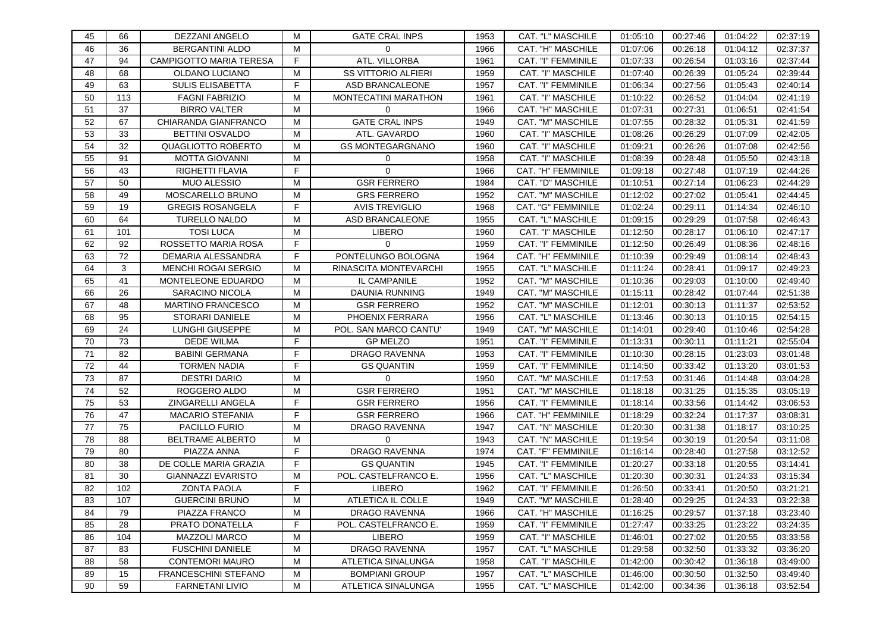| 45 | 66  | DEZZANI ANGELO             | M | <b>GATE CRAL INPS</b>      | 1953 | CAT. "L" MASCHILE  | 01:05:10 | 00:27:46 | 01:04:22 | 02:37:19 |
|----|-----|----------------------------|---|----------------------------|------|--------------------|----------|----------|----------|----------|
| 46 | 36  | <b>BERGANTINI ALDO</b>     | M | $\Omega$                   | 1966 | CAT. "H" MASCHILE  | 01:07:06 | 00:26:18 | 01:04:12 | 02:37:37 |
| 47 | 94  | CAMPIGOTTO MARIA TERESA    | F | ATL. VILLORBA              | 1961 | CAT. "I" FEMMINILE | 01:07:33 | 00:26:54 | 01:03:16 | 02:37:44 |
| 48 | 68  | OLDANO LUCIANO             | M | <b>SS VITTORIO ALFIERI</b> | 1959 | CAT. "I" MASCHILE  | 01:07:40 | 00:26:39 | 01:05:24 | 02:39:44 |
| 49 | 63  | <b>SULIS ELISABETTA</b>    | F | ASD BRANCALEONE            | 1957 | CAT. "I" FEMMINILE | 01:06:34 | 00:27:56 | 01:05:43 | 02:40:14 |
| 50 | 113 | <b>FAGNI FABRIZIO</b>      | M | MONTECATINI MARATHON       | 1961 | CAT. "I" MASCHILE  | 01:10:22 | 00:26:52 | 01:04:04 | 02:41:19 |
| 51 | 37  | <b>BIRRO VALTER</b>        | M | $\Omega$                   | 1966 | CAT. "H" MASCHILE  | 01:07:31 | 00:27:31 | 01:06:51 | 02:41:54 |
| 52 | 67  | CHIARANDA GIANFRANCO       | м | <b>GATE CRAL INPS</b>      | 1949 | CAT. "M" MASCHILE  | 01:07:55 | 00:28:32 | 01:05:31 | 02:41:59 |
| 53 | 33  | <b>BETTINI OSVALDO</b>     | M | ATL. GAVARDO               | 1960 | CAT. "I" MASCHILE  | 01:08:26 | 00:26:29 | 01:07:09 | 02:42:05 |
| 54 | 32  | QUAGLIOTTO ROBERTO         | M | <b>GS MONTEGARGNANO</b>    | 1960 | CAT. "I" MASCHILE  | 01:09:21 | 00:26:26 | 01:07:08 | 02:42:56 |
| 55 | 91  | <b>MOTTA GIOVANNI</b>      | м | 0                          | 1958 | CAT. "I" MASCHILE  | 01:08:39 | 00:28:48 | 01:05:50 | 02:43:18 |
| 56 | 43  | RIGHETTI FLAVIA            | E | 0                          | 1966 | CAT. "H" FEMMINILE | 01:09:18 | 00:27:48 | 01:07:19 | 02:44:26 |
| 57 | 50  | <b>MUO ALESSIO</b>         | M | <b>GSR FERRERO</b>         | 1984 | CAT. "D" MASCHILE  | 01:10:51 | 00:27:14 | 01:06:23 | 02:44:29 |
| 58 | 49  | MOSCARELLO BRUNO           | M | <b>GRS FERRERO</b>         | 1952 | CAT. "M" MASCHILE  | 01:12:02 | 00:27:02 | 01:05:41 | 02:44:45 |
| 59 | 19  | <b>GREGIS ROSANGELA</b>    | E | <b>AVIS TREVIGLIO</b>      | 1968 | CAT. "G" FEMMINILE | 01:02:24 | 00:29:11 | 01:14:34 | 02:46:10 |
| 60 | 64  | TURELLO NALDO              | M | ASD BRANCALEONE            | 1955 | CAT. "L" MASCHILE  | 01:09:15 | 00:29:29 | 01:07:58 | 02:46:43 |
| 61 | 101 | <b>TOSI LUCA</b>           | м | <b>LIBERO</b>              | 1960 | CAT. "I" MASCHILE  | 01:12:50 | 00:28:17 | 01:06:10 | 02:47:17 |
| 62 | 92  | ROSSETTO MARIA ROSA        | F | 0                          | 1959 | CAT. "I" FEMMINILE | 01:12:50 | 00:26:49 | 01:08:36 | 02:48:16 |
| 63 | 72  | DEMARIA ALESSANDRA         | F | PONTELUNGO BOLOGNA         | 1964 | CAT. "H" FEMMINILE | 01:10:39 | 00:29:49 | 01:08:14 | 02:48:43 |
| 64 | 3   | <b>MENCHI ROGAI SERGIO</b> | M | RINASCITA MONTEVARCHI      | 1955 | CAT. "L" MASCHILE  | 01:11:24 | 00:28:41 | 01:09:17 | 02:49:23 |
| 65 | 41  | MONTELEONE EDUARDO         | M | IL CAMPANILE               | 1952 | CAT. "M" MASCHILE  | 01:10:36 | 00:29:03 | 01:10:00 | 02:49:40 |
| 66 | 26  | <b>SARACINO NICOLA</b>     | M | <b>DAUNIA RUNNING</b>      | 1949 | CAT. "M" MASCHILE  | 01:15:11 | 00:28:42 | 01:07:44 | 02:51:38 |
| 67 | 48  | <b>MARTINO FRANCESCO</b>   | M | <b>GSR FERRERO</b>         | 1952 | CAT. "M" MASCHILE  | 01:12:01 | 00:30:13 | 01:11:37 | 02:53:52 |
| 68 | 95  | STORARI DANIELE            | м | PHOENIX FERRARA            | 1956 | CAT. "L" MASCHILE  | 01:13:46 | 00:30:13 | 01:10:15 | 02:54:15 |
| 69 | 24  | LUNGHI GIUSEPPE            | м | POL. SAN MARCO CANTU'      | 1949 | CAT. "M" MASCHILE  | 01:14:01 | 00:29:40 | 01:10:46 | 02:54:28 |
| 70 | 73  | <b>DEDE WILMA</b>          | F | <b>GP MELZO</b>            | 1951 | CAT. "I" FEMMINILE | 01:13:31 | 00:30:11 | 01:11:21 | 02:55:04 |
| 71 | 82  | <b>BABINI GERMANA</b>      | F | DRAGO RAVENNA              | 1953 | CAT. "I" FEMMINILE | 01:10:30 | 00:28:15 | 01:23:03 | 03:01:48 |
| 72 | 44  | <b>TORMEN NADIA</b>        | E | <b>GS QUANTIN</b>          | 1959 | CAT. "I" FEMMINILE | 01:14:50 | 00:33:42 | 01:13:20 | 03:01:53 |
| 73 | 87  | <b>DESTRI DARIO</b>        | M | $\Omega$                   | 1950 | CAT. "M" MASCHILE  | 01:17:53 | 00:31:46 | 01:14:48 | 03:04:28 |
| 74 | 52  | ROGGERO ALDO               | м | <b>GSR FERRERO</b>         | 1951 | CAT. "M" MASCHILE  | 01:18:18 | 00:31:25 | 01:15:35 | 03:05:19 |
| 75 | 53  | ZINGARELLI ANGELA          | F | <b>GSR FERRERO</b>         | 1956 | CAT. "I" FEMMINILE | 01:18:14 | 00:33:56 | 01:14:42 | 03:06:53 |
| 76 | 47  | <b>MACARIO STEFANIA</b>    | F | <b>GSR FERRERO</b>         | 1966 | CAT. "H" FEMMINILE | 01:18:29 | 00:32:24 | 01:17:37 | 03:08:31 |
| 77 | 75  | PACILLO FURIO              | M | DRAGO RAVENNA              | 1947 | CAT. "N" MASCHILE  | 01:20:30 | 00:31:38 | 01:18:17 | 03:10:25 |
| 78 | 88  | <b>BELTRAME ALBERTO</b>    | M | $\Omega$                   | 1943 | CAT. "N" MASCHILE  | 01:19:54 | 00:30:19 | 01:20:54 | 03:11:08 |
| 79 | 80  | PIAZZA ANNA                | F | DRAGO RAVENNA              | 1974 | CAT. "F" FEMMINILE | 01:16:14 | 00:28:40 | 01:27:58 | 03:12:52 |
| 80 | 38  | DE COLLE MARIA GRAZIA      | F | <b>GS QUANTIN</b>          | 1945 | CAT. "I" FEMMINILE | 01:20:27 | 00:33:18 | 01:20:55 | 03:14:41 |
| 81 | 30  | <b>GIANNAZZI EVARISTO</b>  | м | POL. CASTELFRANCO E.       | 1956 | CAT. "L" MASCHILE  | 01:20:30 | 00:30:31 | 01:24:33 | 03:15:34 |
| 82 | 102 | ZONTA PAOLA                | F | LIBERO                     | 1962 | CAT. "I" FEMMINILE | 01:26:50 | 00:33:41 | 01:20:50 | 03:21:21 |
| 83 | 107 | <b>GUERCINI BRUNO</b>      | M | ATLETICA IL COLLE          | 1949 | CAT. "M" MASCHILE  | 01:28:40 | 00:29:25 | 01:24:33 | 03:22:38 |
| 84 | 79  | PIAZZA FRANCO              | м | DRAGO RAVENNA              | 1966 | CAT. "H" MASCHILE  | 01:16:25 | 00:29:57 | 01:37:18 | 03:23:40 |
| 85 | 28  | PRATO DONATELLA            | F | POL. CASTELFRANCO E.       | 1959 | CAT. "I" FEMMINILE | 01:27:47 | 00:33:25 | 01:23:22 | 03:24:35 |
| 86 | 104 | <b>MAZZOLI MARCO</b>       | M | <b>LIBERO</b>              | 1959 | CAT. "I" MASCHILE  | 01:46:01 | 00:27:02 | 01:20:55 | 03:33:58 |
| 87 | 83  | <b>FUSCHINI DANIELE</b>    | M | DRAGO RAVENNA              | 1957 | CAT. "L" MASCHILE  | 01:29:58 | 00:32:50 | 01:33:32 | 03:36:20 |
| 88 | 58  | <b>CONTEMORI MAURO</b>     | м | <b>ATLETICA SINALUNGA</b>  | 1958 | CAT. "I" MASCHILE  | 01:42:00 | 00:30:42 | 01:36:18 | 03:49:00 |
| 89 | 15  | FRANCESCHINI STEFANO       | M | <b>BOMPIANI GROUP</b>      | 1957 | CAT. "L" MASCHILE  | 01:46:00 | 00:30:50 | 01:32:50 | 03:49:40 |
| 90 | 59  | <b>FARNETANI LIVIO</b>     | M | <b>ATLETICA SINALUNGA</b>  | 1955 | CAT. "L" MASCHILE  | 01:42:00 | 00:34:36 | 01:36:18 | 03:52:54 |